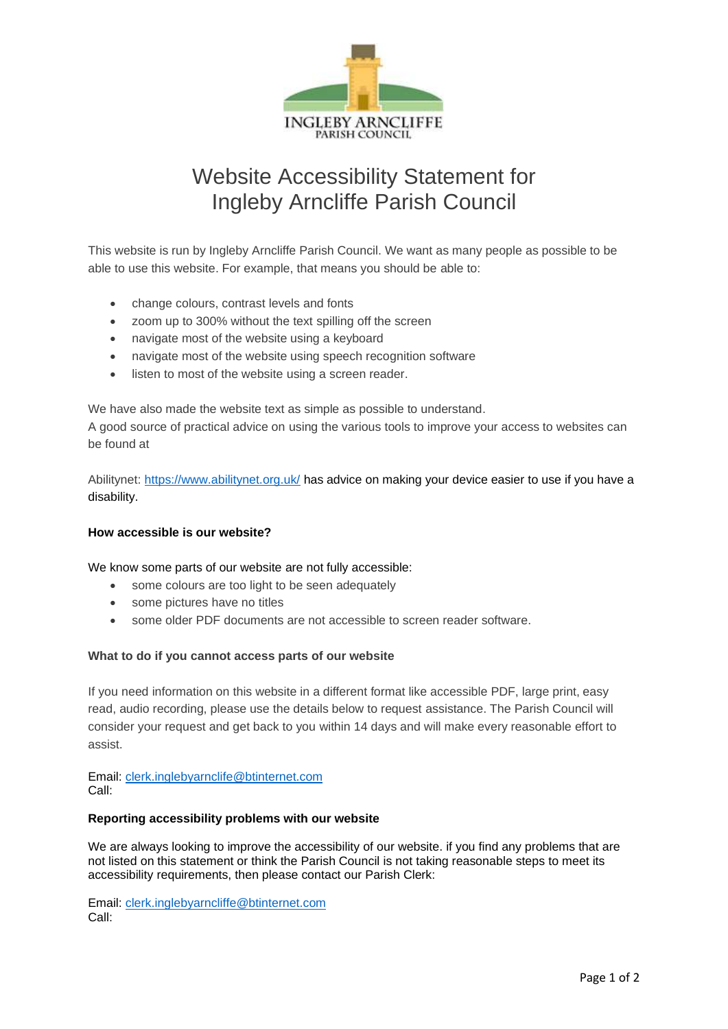

# Website Accessibility Statement for Ingleby Arncliffe Parish Council

This website is run by Ingleby Arncliffe Parish Council. We want as many people as possible to be able to use this website. For example, that means you should be able to:

- change colours, contrast levels and fonts
- zoom up to 300% without the text spilling off the screen
- navigate most of the website using a keyboard
- navigate most of the website using speech recognition software
- listen to most of the website using a screen reader.

We have also made the website text as simple as possible to understand.

A good source of practical advice on using the various tools to improve your access to websites can be found at

Abilitynet:<https://www.abilitynet.org.uk/> has advice on making your device easier to use if you have a disability.

## **How accessible is our website?**

We know some parts of our website are not fully accessible:

- some colours are too light to be seen adequately
- some pictures have no titles
- some older PDF documents are not accessible to screen reader software.

## **What to do if you cannot access parts of our website**

If you need information on this website in a different format like accessible PDF, large print, easy read, audio recording, please use the details below to request assistance. The Parish Council will consider your request and get back to you within 14 days and will make every reasonable effort to assist.

Email: [clerk.inglebyarnclife@btinternet.com](mailto:clerk.inglebyarnclife@btinternet.com) Call:

#### **Reporting accessibility problems with our website**

We are always looking to improve the accessibility of our website. if you find any problems that are not listed on this statement or think the Parish Council is not taking reasonable steps to meet its accessibility requirements, then please contact our Parish Clerk:

Email: [clerk.inglebyarncliffe@btinternet.com](mailto:clerk.inglebyarncliffe@btinternet.com) Call: